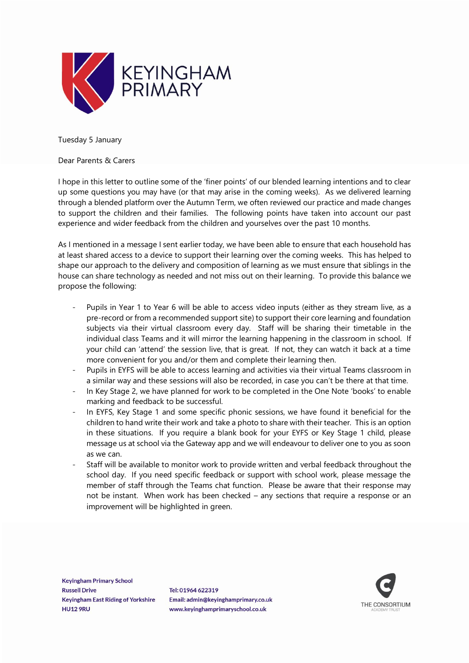

Tuesday 5 January

Dear Parents & Carers

I hope in this letter to outline some of the 'finer points' of our blended learning intentions and to clear up some questions you may have (or that may arise in the coming weeks). As we delivered learning through a blended platform over the Autumn Term, we often reviewed our practice and made changes to support the children and their families. The following points have taken into account our past experience and wider feedback from the children and yourselves over the past 10 months.

As I mentioned in a message I sent earlier today, we have been able to ensure that each household has at least shared access to a device to support their learning over the coming weeks. This has helped to shape our approach to the delivery and composition of learning as we must ensure that siblings in the house can share technology as needed and not miss out on their learning. To provide this balance we propose the following:

- Pupils in Year 1 to Year 6 will be able to access video inputs (either as they stream live, as a pre-record or from a recommended support site) to support their core learning and foundation subjects via their virtual classroom every day. Staff will be sharing their timetable in the individual class Teams and it will mirror the learning happening in the classroom in school. If your child can 'attend' the session live, that is great. If not, they can watch it back at a time more convenient for you and/or them and complete their learning then.
- Pupils in EYFS will be able to access learning and activities via their virtual Teams classroom in a similar way and these sessions will also be recorded, in case you can't be there at that time.
- In Key Stage 2, we have planned for work to be completed in the One Note 'books' to enable marking and feedback to be successful.
- In EYFS, Key Stage 1 and some specific phonic sessions, we have found it beneficial for the children to hand write their work and take a photo to share with their teacher. This is an option in these situations. If you require a blank book for your EYFS or Key Stage 1 child, please message us at school via the Gateway app and we will endeavour to deliver one to you as soon as we can.
- Staff will be available to monitor work to provide written and verbal feedback throughout the school day. If you need specific feedback or support with school work, please message the member of staff through the Teams chat function. Please be aware that their response may not be instant. When work has been checked – any sections that require a response or an improvement will be highlighted in green.

**Keyingham Primary School Russell Drive Keyingham East Riding of Yorkshire HU12 9RU** 

Tel: 01964 622319 Email: admin@kevinghamprimary.co.uk www.keyinghamprimaryschool.co.uk